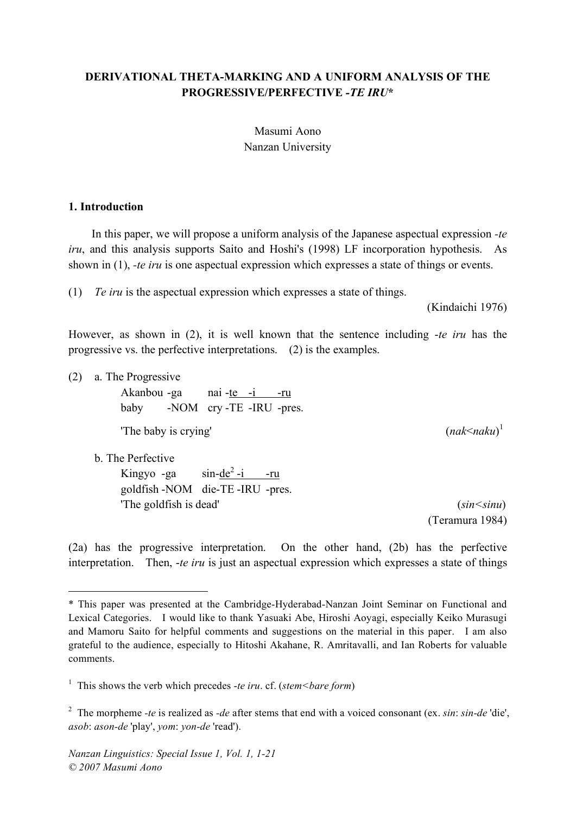# **DERIVATIONAL THETA-MARKING AND A UNIFORM ANALYSIS OF THE PROGRESSIVE/PERFECTIVE** *-TE IRU***\***

Masumi Aono Nanzan University

#### **1. Introduction**

In this paper, we will propose a uniform analysis of the Japanese aspectual expression *-te iru*, and this analysis supports Saito and Hoshi's (1998) LF incorporation hypothesis. As shown in (1), *-te iru* is one aspectual expression which expresses a state of things or events.

(1) *Te iru* is the aspectual expression which expresses a state of things.

(Kindaichi 1976)

However, as shown in (2), it is well known that the sentence including -*te iru* has the progressive vs. the perfective interpretations. (2) is the examples.

(2) a. The Progressive

Akanbou -ga nai -te -i -ru baby -NOM cry -TE -IRU -pres.

'The baby is crying'

b. The Perfective

 $\overline{a}$ 

Kingyo -ga  $\sin$ -de<sup>2</sup> -i -ru goldfish -NOM die-TE -IRU -pres. 'The goldfish is dead' (*sin<sinu*)

(Teramura 1984)

 $(nak \leq naku)^1$ 

(2a) has the progressive interpretation. On the other hand, (2b) has the perfective interpretation. Then, *-te iru* is just an aspectual expression which expresses a state of things

<sup>\*</sup> This paper was presented at the Cambridge-Hyderabad-Nanzan Joint Seminar on Functional and Lexical Categories. I would like to thank Yasuaki Abe, Hiroshi Aoyagi, especially Keiko Murasugi and Mamoru Saito for helpful comments and suggestions on the material in this paper. I am also grateful to the audience, especially to Hitoshi Akahane, R. Amritavalli, and Ian Roberts for valuable comments.

<sup>&</sup>lt;sup>1</sup> This shows the verb which precedes *-te iru*. cf. (*stem*  $\leq$  *bare form*)

<sup>2</sup> The morpheme *-te* is realized as *-de* after stems that end with a voiced consonant (ex. *sin*: *sin-de* 'die', *asob*: *ason-de* 'play', *yom*: *yon-de* 'read').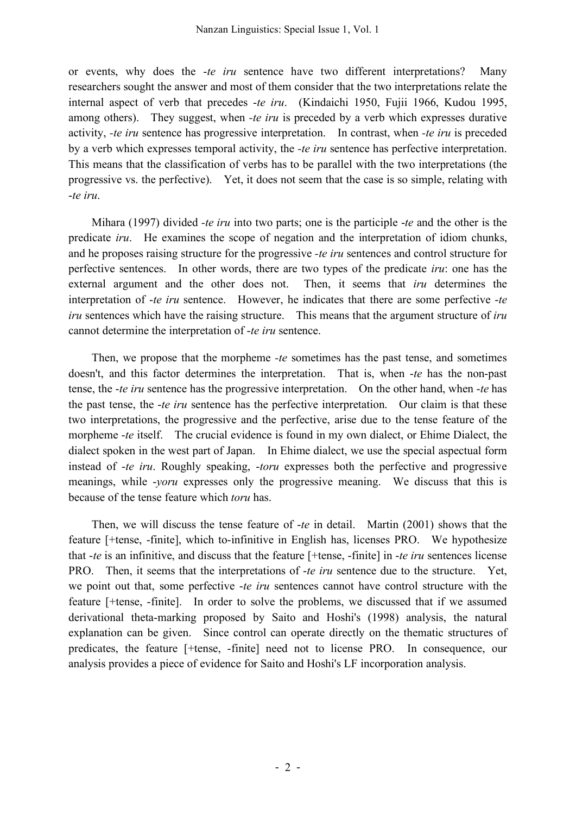or events, why does the -*te iru* sentence have two different interpretations? Many researchers sought the answer and most of them consider that the two interpretations relate the internal aspect of verb that precedes -*te iru*. (Kindaichi 1950, Fujii 1966, Kudou 1995, among others). They suggest, when *-te iru* is preceded by a verb which expresses durative activity, *-te iru* sentence has progressive interpretation. In contrast, when *-te iru* is preceded by a verb which expresses temporal activity, the *-te iru* sentence has perfective interpretation. This means that the classification of verbs has to be parallel with the two interpretations (the progressive vs. the perfective). Yet, it does not seem that the case is so simple, relating with -*te iru*.

Mihara (1997) divided *-te iru* into two parts; one is the participle -*te* and the other is the predicate *iru*. He examines the scope of negation and the interpretation of idiom chunks, and he proposes raising structure for the progressive *-te iru* sentences and control structure for perfective sentences. In other words, there are two types of the predicate *iru*: one has the external argument and the other does not. Then, it seems that *iru* determines the interpretation of -*te iru* sentence. However, he indicates that there are some perfective -*te iru* sentences which have the raising structure. This means that the argument structure of *iru* cannot determine the interpretation of -*te iru* sentence.

Then, we propose that the morpheme *-te* sometimes has the past tense, and sometimes doesn't, and this factor determines the interpretation. That is, when -*te* has the non-past tense, the -*te iru* sentence has the progressive interpretation. On the other hand, when -*te* has the past tense, the -*te iru* sentence has the perfective interpretation. Our claim is that these two interpretations, the progressive and the perfective, arise due to the tense feature of the morpheme *-te* itself. The crucial evidence is found in my own dialect, or Ehime Dialect, the dialect spoken in the west part of Japan. In Ehime dialect, we use the special aspectual form instead of -*te iru*. Roughly speaking, -*toru* expresses both the perfective and progressive meanings, while -*yoru* expresses only the progressive meaning. We discuss that this is because of the tense feature which *toru* has.

Then, we will discuss the tense feature of -*te* in detail. Martin (2001) shows that the feature [+tense, -finite], which to-infinitive in English has, licenses PRO. We hypothesize that -*te* is an infinitive, and discuss that the feature [+tense, -finite] in -*te iru* sentences license PRO. Then, it seems that the interpretations of -*te iru* sentence due to the structure. Yet, we point out that, some perfective -*te iru* sentences cannot have control structure with the feature [+tense, -finite]. In order to solve the problems, we discussed that if we assumed derivational theta-marking proposed by Saito and Hoshi's (1998) analysis, the natural explanation can be given. Since control can operate directly on the thematic structures of predicates, the feature [+tense, -finite] need not to license PRO. In consequence, our analysis provides a piece of evidence for Saito and Hoshi's LF incorporation analysis.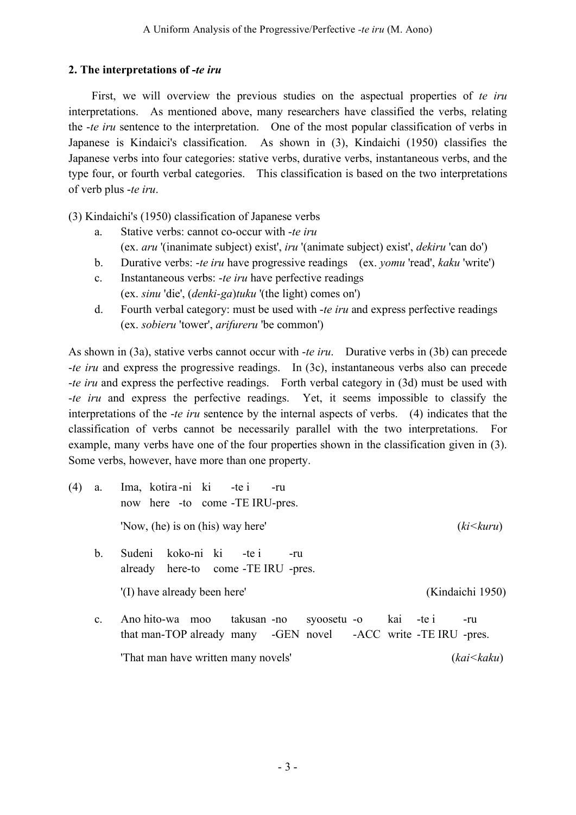### **2. The interpretations of -***te iru*

First, we will overview the previous studies on the aspectual properties of *te iru* interpretations. As mentioned above, many researchers have classified the verbs, relating the -*te iru* sentence to the interpretation. One of the most popular classification of verbs in Japanese is Kindaici's classification. As shown in (3), Kindaichi (1950) classifies the Japanese verbs into four categories: stative verbs, durative verbs, instantaneous verbs, and the type four, or fourth verbal categories. This classification is based on the two interpretations of verb plus -*te iru*.

(3) Kindaichi's (1950) classification of Japanese verbs

- a. Stative verbs: cannot co-occur with -*te iru* (ex. *aru* '(inanimate subject) exist', *iru* '(animate subject) exist', *dekiru* 'can do')
- b. Durative verbs: -*te iru* have progressive readings (ex. *yomu* 'read', *kaku* 'write')
- c. Instantaneous verbs: -*te iru* have perfective readings (ex. *sinu* 'die', (*denki-ga*)*tuku* '(the light) comes on')
- d. Fourth verbal category: must be used with -*te iru* and express perfective readings (ex. *sobieru* 'tower', *arifureru* 'be common')

As shown in (3a), stative verbs cannot occur with -*te iru*. Durative verbs in (3b) can precede -*te iru* and express the progressive readings. In (3c), instantaneous verbs also can precede -*te iru* and express the perfective readings. Forth verbal category in (3d) must be used with -*te iru* and express the perfective readings. Yet, it seems impossible to classify the interpretations of the *-te iru* sentence by the internal aspects of verbs. (4) indicates that the classification of verbs cannot be necessarily parallel with the two interpretations. For example, many verbs have one of the four properties shown in the classification given in (3). Some verbs, however, have more than one property.

| (4) | a.             | Ima, kotira-ni ki -te i<br>-ru<br>now here -to come -TE IRU-pres.                                                                                                                                                                                                                                                           |                               |
|-----|----------------|-----------------------------------------------------------------------------------------------------------------------------------------------------------------------------------------------------------------------------------------------------------------------------------------------------------------------------|-------------------------------|
|     |                | 'Now, (he) is on (his) way here'                                                                                                                                                                                                                                                                                            | (ki <kluru)< td=""></kluru)<> |
|     | b.             | koko-ni ki -te i<br>Sudeni<br>-ru<br>already here-to come -TE IRU -pres.                                                                                                                                                                                                                                                    |                               |
|     |                | '(I) have already been here'                                                                                                                                                                                                                                                                                                | (Kindaichi 1950)              |
|     | $\mathbf{c}$ . | Ano hito-wa moo<br>takusan -no<br>syoosetu -o<br>kai - te i<br>$\Lambda_{\text{tot}}$ $\Lambda_{\text{tot}}$ $\Lambda_{\text{tot}}$ $\Lambda_{\text{tot}}$ $\Lambda_{\text{tot}}$ $\Lambda_{\text{tot}}$ $\Lambda_{\text{tot}}$ $\Lambda_{\text{tot}}$ $\Lambda_{\text{tot}}$ $\Lambda_{\text{tot}}$ $\Lambda_{\text{tot}}$ | -ru                           |

that man-TOP already many -GEN novel -ACC write -TE IRU -pres. 'That man have written many novels' (*kai<kaku*)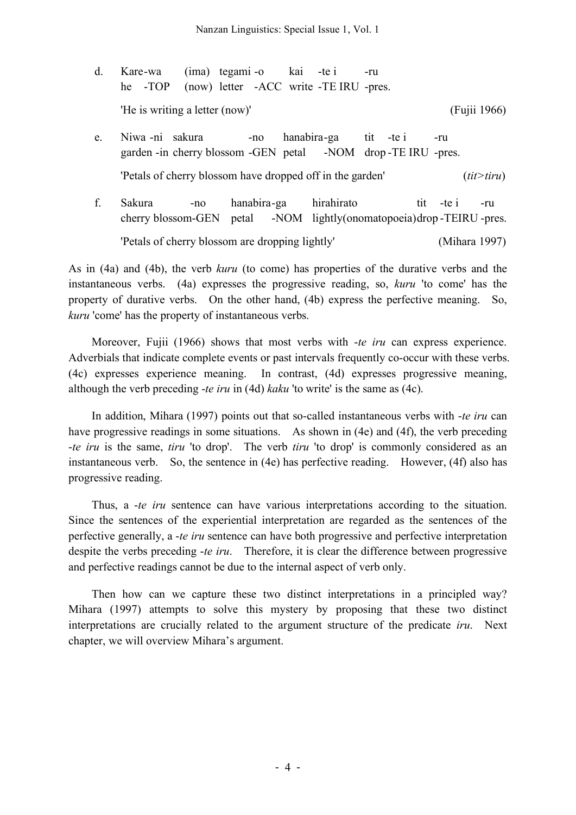- d. Kare-wa (ima) tegami -o kai -te i -ru he -TOP (now) letter -ACC write -TE IRU -pres. 'He is writing a letter (now)' (Fujii 1966)
- e. Niwa -ni sakura -no hanabira-ga tit -te i -ru garden -in cherry blossom -GEN petal -NOM drop -TE IRU -pres. 'Petals of cherry blossom have dropped off in the garden' (*tit>tiru*)
- f. Sakura -no hanabira-ga hirahirato tit -te i -ru cherry blossom-GEN petal -NOM lightly(onomatopoeia)drop -TEIRU -pres. 'Petals of cherry blossom are dropping lightly' (Mihara 1997)

As in (4a) and (4b), the verb *kuru* (to come) has properties of the durative verbs and the instantaneous verbs. (4a) expresses the progressive reading, so, *kuru* 'to come' has the property of durative verbs. On the other hand, (4b) express the perfective meaning. So, *kuru* 'come' has the property of instantaneous verbs.

Moreover, Fujii (1966) shows that most verbs with -*te iru* can express experience. Adverbials that indicate complete events or past intervals frequently co-occur with these verbs. (4c) expresses experience meaning. In contrast, (4d) expresses progressive meaning, although the verb preceding -*te iru* in (4d) *kaku* 'to write' is the same as (4c).

In addition, Mihara (1997) points out that so-called instantaneous verbs with -*te iru* can have progressive readings in some situations. As shown in (4e) and (4f), the verb preceding -*te iru* is the same, *tiru* 'to drop'. The verb *tiru* 'to drop' is commonly considered as an instantaneous verb. So, the sentence in (4e) has perfective reading. However, (4f) also has progressive reading.

Thus, a -*te iru* sentence can have various interpretations according to the situation. Since the sentences of the experiential interpretation are regarded as the sentences of the perfective generally, a -*te iru* sentence can have both progressive and perfective interpretation despite the verbs preceding -*te iru*. Therefore, it is clear the difference between progressive and perfective readings cannot be due to the internal aspect of verb only.

Then how can we capture these two distinct interpretations in a principled way? Mihara (1997) attempts to solve this mystery by proposing that these two distinct interpretations are crucially related to the argument structure of the predicate *iru*. Next chapter, we will overview Mihara's argument.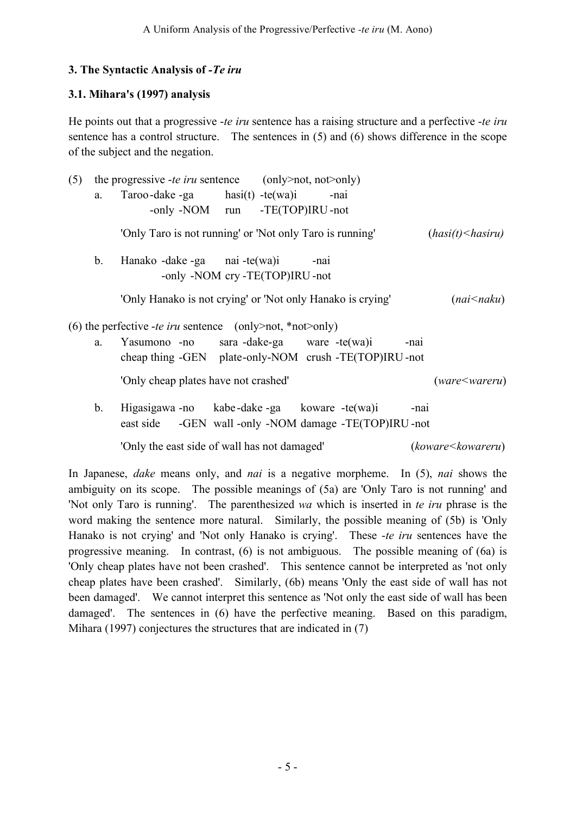# **3. The Syntactic Analysis of** *-Te iru*

### **3.1. Mihara's (1997) analysis**

He points out that a progressive -*te iru* sentence has a raising structure and a perfective -*te iru* sentence has a control structure. The sentences in (5) and (6) shows difference in the scope of the subject and the negation.

| (5) |                | the progressive <i>-te iru</i> sentence (only >not, not >only)                                            |                                         |
|-----|----------------|-----------------------------------------------------------------------------------------------------------|-----------------------------------------|
|     | a.             | Taroo-dake -ga $hasi(t)$ -te(wa)i<br>-nai                                                                 |                                         |
|     |                | -only -NOM run -TE(TOP)IRU-not                                                                            |                                         |
|     |                | 'Only Taro is not running' or 'Not only Taro is running'                                                  | $(hasi(t)$ < hasiru)                    |
|     | $\mathbf b$ .  | Hanako -dake -ga nai -te(wa)i<br>-nai                                                                     |                                         |
|     |                | -only -NOM cry -TE(TOP)IRU-not                                                                            |                                         |
|     |                | 'Only Hanako is not crying' or 'Not only Hanako is crying'                                                | $(nai \leq naku)$                       |
|     |                | (6) the perfective <i>-te iru</i> sentence (only>not, *not>only)                                          |                                         |
|     | a.             | Yasumono -no sara -dake-ga ware -te(wa)i<br>-nai<br>cheap thing -GEN plate-only-NOM crush -TE(TOP)IRU-not |                                         |
|     |                |                                                                                                           |                                         |
|     |                | 'Only cheap plates have not crashed'                                                                      | $(ware \leq waren)$                     |
|     | $\mathbf{b}$ . | Higasigawa -no kabe -dake -ga koware -te(wa)i<br>-nai                                                     |                                         |
|     |                | east side -GEN wall-only -NOM damage -TE(TOP)IRU-not                                                      |                                         |
|     |                | 'Only the east side of wall has not damaged'                                                              | (koware <kowareru)< td=""></kowareru)<> |
|     |                |                                                                                                           |                                         |

In Japanese, *dake* means only, and *nai* is a negative morpheme. In (5), *nai* shows the ambiguity on its scope. The possible meanings of (5a) are 'Only Taro is not running' and 'Not only Taro is running'. The parenthesized *wa* which is inserted in *te iru* phrase is the word making the sentence more natural. Similarly, the possible meaning of (5b) is 'Only Hanako is not crying' and 'Not only Hanako is crying'. These -*te iru* sentences have the progressive meaning. In contrast, (6) is not ambiguous. The possible meaning of (6a) is 'Only cheap plates have not been crashed'. This sentence cannot be interpreted as 'not only cheap plates have been crashed'. Similarly, (6b) means 'Only the east side of wall has not been damaged'. We cannot interpret this sentence as 'Not only the east side of wall has been damaged'. The sentences in (6) have the perfective meaning. Based on this paradigm, Mihara (1997) conjectures the structures that are indicated in (7)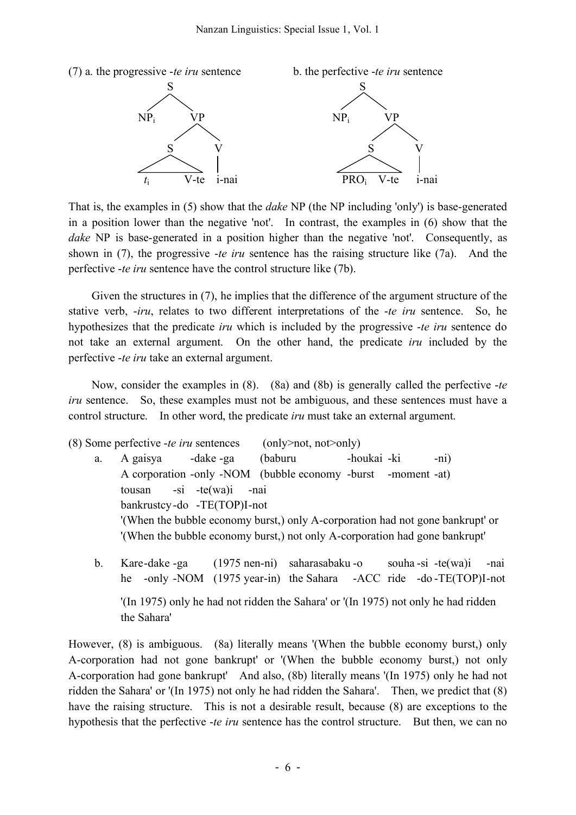

That is, the examples in (5) show that the *dake* NP (the NP including 'only') is base-generated in a position lower than the negative 'not'. In contrast, the examples in (6) show that the dake NP is base-generated in a position higher than the negative 'not'. Consequently, as shown in (7), the progressive -*te iru* sentence has the raising structure like (7a). And the perfective -*te iru* sentence have the control structure like (7b).

Given the structures in (7), he implies that the difference of the argument structure of the stative verb, -*iru*, relates to two different interpretations of the -*te iru* sentence. So, he hypothesizes that the predicate *iru* which is included by the progressive -*te iru* sentence do not take an external argument. On the other hand, the predicate *iru* included by the perfective -*te iru* take an external argument.

Now, consider the examples in (8). (8a) and (8b) is generally called the perfective -*te iru* sentence. So, these examples must not be ambiguous, and these sentences must have a control structure. In other word, the predicate *iru* must take an external argument.

|    | (8) Some perfective -te iru sentences |                             | $(only\geq not, not\geq only)$                                                 |             |        |
|----|---------------------------------------|-----------------------------|--------------------------------------------------------------------------------|-------------|--------|
| a. | A gaisya - dake -ga                   |                             | (baburu)                                                                       | -houkai -ki | $-ni)$ |
|    |                                       |                             | A corporation -only -NOM (bubble economy -burst -moment -at)                   |             |        |
|    |                                       | tousan $-si$ -te(wa)i -nai  |                                                                                |             |        |
|    |                                       | bankrustcy-do -TE(TOP)I-not |                                                                                |             |        |
|    |                                       |                             | '(When the bubble economy burst,) only A-corporation had not gone bankrupt' or |             |        |
|    |                                       |                             | '(When the bubble economy burst,) not only A-corporation had gone bankrupt'    |             |        |
|    |                                       |                             |                                                                                |             |        |

b. Kare-dake -ga (1975 nen-ni) saharasabaku -o souha -si -te(wa)i -nai he -only -NOM (1975 year-in) the Sahara -ACC ride -do-TE(TOP)I-not '(In 1975) only he had not ridden the Sahara' or '(In 1975) not only he had ridden the Sahara'

However, (8) is ambiguous. (8a) literally means '(When the bubble economy burst,) only A-corporation had not gone bankrupt' or '(When the bubble economy burst,) not only A-corporation had gone bankrupt' And also, (8b) literally means '(In 1975) only he had not ridden the Sahara' or '(In 1975) not only he had ridden the Sahara'. Then, we predict that (8) have the raising structure. This is not a desirable result, because (8) are exceptions to the hypothesis that the perfective -*te iru* sentence has the control structure. But then, we can no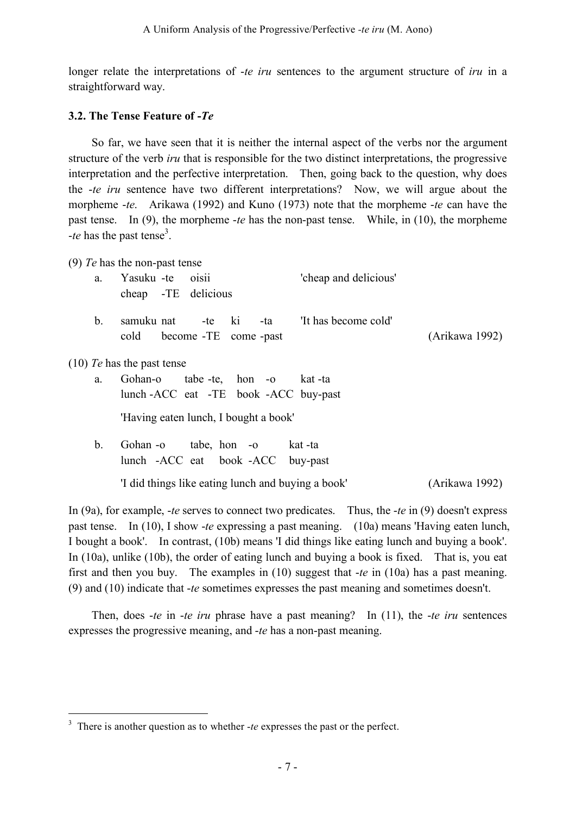longer relate the interpretations of -*te iru* sentences to the argument structure of *iru* in a straightforward way.

#### **3.2. The Tense Feature of -***Te*

So far, we have seen that it is neither the internal aspect of the verbs nor the argument structure of the verb *iru* that is responsible for the two distinct interpretations, the progressive interpretation and the perfective interpretation. Then, going back to the question, why does the -*te iru* sentence have two different interpretations? Now, we will argue about the morpheme -*te*. Arikawa (1992) and Kuno (1973) note that the morpheme -*te* can have the past tense. In (9), the morpheme -*te* has the non-past tense. While, in (10), the morpheme -*te* has the past tense<sup>3</sup>.

(9) *Te* has the non-past tense

| a.          | Yasuku -te oisii<br>cheap -TE delicious                                      | 'cheap and delicious' |
|-------------|------------------------------------------------------------------------------|-----------------------|
| $b_{\cdot}$ | samuku nat -te ki -ta 'It has become cold'<br>become -TE come -past<br>cold  | (Arikawa 1992)        |
|             | $(10)$ Te has the past tense                                                 |                       |
| a.          | Gohan-o tabe -te, hon -o kat -ta<br>lunch - ACC eat - TE book - ACC buy-past |                       |
|             | 'Having eaten lunch, I bought a book'                                        |                       |
| $b_{\cdot}$ | Gohan -o tabe, hon -o<br>kat -ta<br>lunch -ACC eat book -ACC<br>buy-past     |                       |
|             | 'I did things like eating lunch and buying a book'                           | (Arikawa 1992)        |

In (9a), for example, -*te* serves to connect two predicates. Thus, the -*te* in (9) doesn't express past tense. In (10), I show -*te* expressing a past meaning. (10a) means 'Having eaten lunch, I bought a book'. In contrast, (10b) means 'I did things like eating lunch and buying a book'. In (10a), unlike (10b), the order of eating lunch and buying a book is fixed. That is, you eat first and then you buy. The examples in (10) suggest that -*te* in (10a) has a past meaning. (9) and (10) indicate that -*te* sometimes expresses the past meaning and sometimes doesn't.

Then, does -*te* in -*te iru* phrase have a past meaning? In (11), the -*te iru* sentences expresses the progressive meaning, and -*te* has a non-past meaning.

<sup>&</sup>lt;sup>3</sup> There is another question as to whether *-te* expresses the past or the perfect.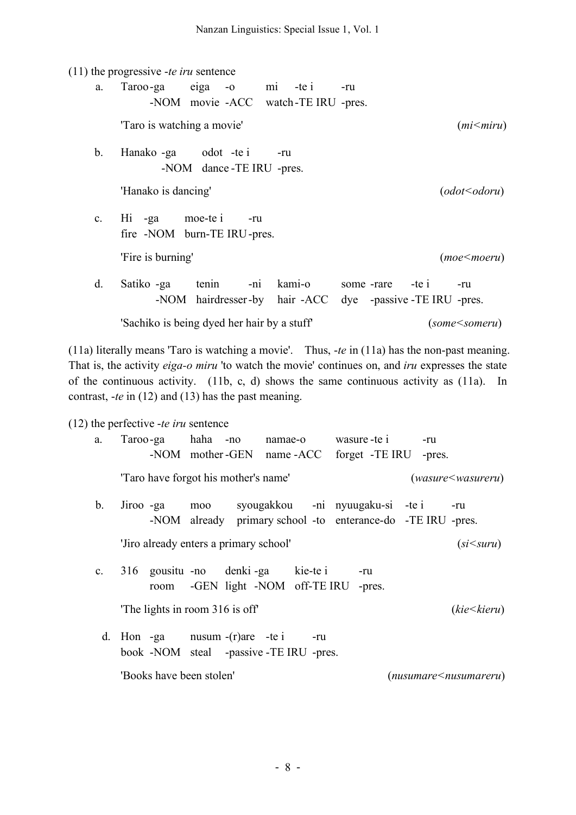|         | $(11)$ the progressive <i>-te iru</i> sentence                                                                  |
|---------|-----------------------------------------------------------------------------------------------------------------|
| a.      | Taroo-ga eiga -o mi -te i<br>-ru<br>-NOM movie -ACC watch-TE IRU -pres.                                         |
|         | 'Taro is watching a movie'<br>(mi <min)< td=""></min)<>                                                         |
| $b_{-}$ | Hanako -ga odot -te i -ru<br>-NOM dance - TE IRU - pres.                                                        |
|         | 'Hanako is dancing'<br>(odot < o <sub>dom</sub> )                                                               |
|         | c. Hi -ga moe-te i<br>-ru<br>fire -NOM burn-TE IRU-pres.                                                        |
|         | 'Fire is burning'<br>$(moe \le moeru)$                                                                          |
| d.      | -ni kami-o some -rare -te i<br>Satiko -ga tenin<br>-ru<br>-NOM hairdresser-by hair-ACC dye -passive-TEIRU-pres. |
|         | 'Sachiko is being dyed her hair by a stuff'<br>(some <someru)< td=""></someru)<>                                |

(11a) literally means 'Taro is watching a movie'. Thus, -*te* in (11a) has the non-past meaning. That is, the activity *eiga-o miru* 'to watch the movie' continues on, and *iru* expresses the state of the continuous activity. (11b, c, d) shows the same continuous activity as (11a). In contrast, -*te* in (12) and (13) has the past meaning.

|  |  | $(12)$ the perfective -te iru sentence |  |  |  |
|--|--|----------------------------------------|--|--|--|
|--|--|----------------------------------------|--|--|--|

| a.          |                          |                                        | Taroo-ga haha no namae-o                                         | wasure -te i                                                                                    | -ru                            |
|-------------|--------------------------|----------------------------------------|------------------------------------------------------------------|-------------------------------------------------------------------------------------------------|--------------------------------|
|             |                          |                                        |                                                                  | -NOM mother-GEN name-ACC forget -TE IRU -pres.                                                  |                                |
|             |                          | Taro have forgot his mother's name'    |                                                                  |                                                                                                 | $(wasure \leq$ wasureru)       |
| $b_{-}$     | $Jiroo$ -ga              | moo                                    |                                                                  | syougakkou -ni nyuugaku-si -te i<br>-NOM already primary school -to enterance-do -TE IRU -pres. | -ru                            |
|             |                          | 'Jiro already enters a primary school' |                                                                  |                                                                                                 | $(size_{suru})$                |
| $c_{\cdot}$ | room                     |                                        | 316 gousitu -no denki -ga kie-te i<br>-GEN light -NOM off-TE IRU | -ru<br>-pres.                                                                                   |                                |
|             |                          | The lights in room 316 is off          |                                                                  |                                                                                                 | (kie <kieru)< th=""></kieru)<> |
|             |                          | d. Hon $-ga$ nusum $-(r)$ are $-te$ i  | -ru<br>book -NOM steal -passive -TE IRU -pres.                   |                                                                                                 |                                |
|             | 'Books have been stolen' |                                        |                                                                  |                                                                                                 | $(nusumare \leq nusumareru)$   |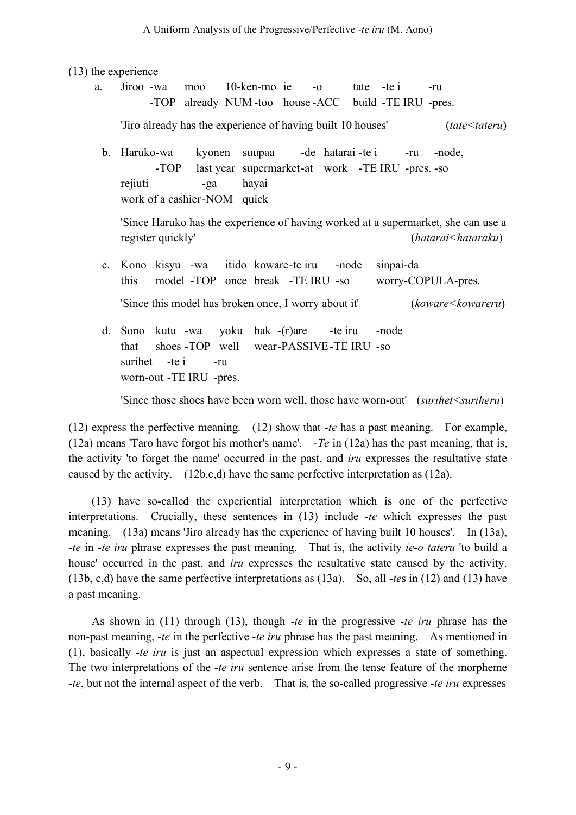(13) the experience

a. Jiroo -wa moo 10-ken-mo ie -o tate -te i -ru -TOP already NUM -too house -ACC build -TE IRU -pres.

'Jiro already has the experience of having built 10 houses' (*tate<tateru*)

b. Haruko-wa kyonen suupaa -de hatarai -te i -ru -node, -TOP last year supermarket-at work -TE IRU -pres. -so rejiuti -ga hayai work of a cashier-NOM quick

'Since Haruko has the experience of having worked at a supermarket, she can use a register quickly' (*hatarai<hataraku*)

- c. Kono kisyu -wa itido koware-te iru -node sinpai-da this model -TOP once break -TE IRU -so worry-COPULA-pres. 'Since this model has broken once, I worry about it' (*koware<kowareru*)
- d. Sono kutu -wa yoku hak -(r)are -te iru -node that shoes -TOP well wear-PASSIVE-TE IRU -so surihet -te i -ru worn-out -TE IRU -pres.

'Since those shoes have been worn well, those have worn-out' *(surihet<suriheru)* 

(12) express the perfective meaning. (12) show that -*te* has a past meaning. For example, (12a) means 'Taro have forgot his mother's name'. -*Te* in (12a) has the past meaning, that is, the activity 'to forget the name' occurred in the past, and *iru* expresses the resultative state caused by the activity. (12b,c,d) have the same perfective interpretation as (12a).

(13) have so-called the experiential interpretation which is one of the perfective interpretations. Crucially, these sentences in (13) include -*te* which expresses the past meaning. (13a) means 'Jiro already has the experience of having built 10 houses'. In (13a), -*te* in -*te iru* phrase expresses the past meaning. That is, the activity *ie-o tateru* 'to build a house' occurred in the past, and *iru* expresses the resultative state caused by the activity. (13b, c,d) have the same perfective interpretations as (13a). So, all -*te*s in (12) and (13) have a past meaning.

As shown in (11) through (13), though -*te* in the progressive -*te iru* phrase has the non-past meaning, -*te* in the perfective -*te iru* phrase has the past meaning. As mentioned in (1), basically -*te iru* is just an aspectual expression which expresses a state of something. The two interpretations of the -*te iru* sentence arise from the tense feature of the morpheme -*te*, but not the internal aspect of the verb. That is, the so-called progressive -*te iru* expresses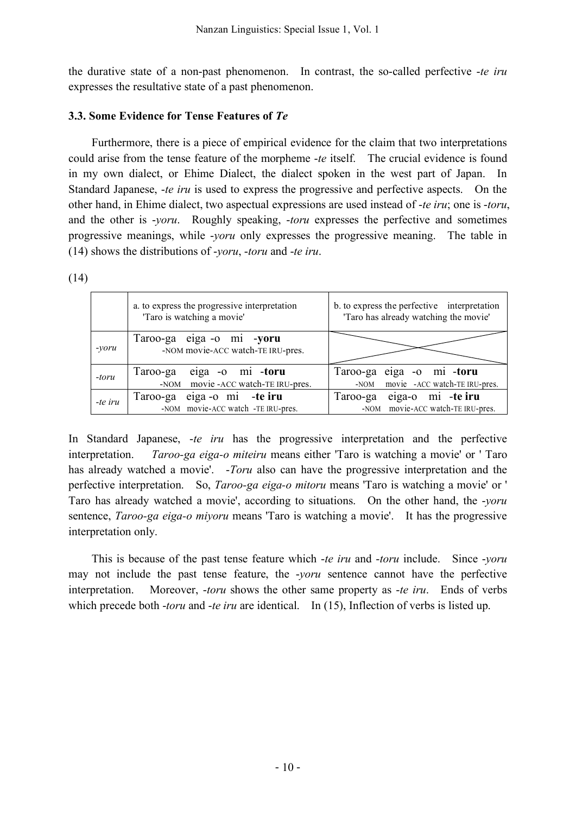the durative state of a non-past phenomenon. In contrast, the so-called perfective -*te iru* expresses the resultative state of a past phenomenon.

## **3.3. Some Evidence for Tense Features of** *Te*

Furthermore, there is a piece of empirical evidence for the claim that two interpretations could arise from the tense feature of the morpheme -*te* itself. The crucial evidence is found in my own dialect, or Ehime Dialect, the dialect spoken in the west part of Japan. In Standard Japanese, -*te iru* is used to express the progressive and perfective aspects. On the other hand, in Ehime dialect, two aspectual expressions are used instead of -*te iru*; one is -*toru*, and the other is -*yoru*. Roughly speaking, -*toru* expresses the perfective and sometimes progressive meanings, while -*yoru* only expresses the progressive meaning. The table in (14) shows the distributions of -*yoru*, -*toru* and -*te iru*.

(14)

|         | a. to express the progressive interpretation<br>'Taro is watching a movie' | b. to express the perfective interpretation<br>'Taro has already watching the movie' |
|---------|----------------------------------------------------------------------------|--------------------------------------------------------------------------------------|
| -yoru   | Taroo-ga eiga -o mi -yoru<br>-NOM movie-ACC watch-TE IRU-pres.             |                                                                                      |
| -toru   | eiga -o mi -toru<br>Taroo-ga<br>-NOM movie -ACC watch-TE IRU-pres.         | Taroo-ga eiga -o mi -toru<br>-NOM movie -ACC watch-TE IRU-pres.                      |
| -te iru | eiga -o mi -te iru<br>Taroo-ga<br>-NOM movie-ACC watch -TE IRU-pres.       | Taroo-ga eiga-o mi -te iru<br>-NOM movie-ACC watch-TE IRU-pres.                      |

In Standard Japanese, -*te iru* has the progressive interpretation and the perfective interpretation. *Taroo-ga eiga-o miteiru* means either 'Taro is watching a movie' or ' Taro has already watched a movie'. -*Toru* also can have the progressive interpretation and the perfective interpretation. So, *Taroo-ga eiga-o mitoru* means 'Taro is watching a movie' or ' Taro has already watched a movie', according to situations. On the other hand, the -*yoru* sentence, *Taroo-ga eiga-o miyoru* means 'Taro is watching a movie'. It has the progressive interpretation only.

This is because of the past tense feature which -*te iru* and -*toru* include. Since -*yoru* may not include the past tense feature, the -*yoru* sentence cannot have the perfective interpretation. Moreover, -*toru* shows the other same property as -*te iru*. Ends of verbs which precede both *-toru* and *-te iru* are identical. In (15), Inflection of verbs is listed up.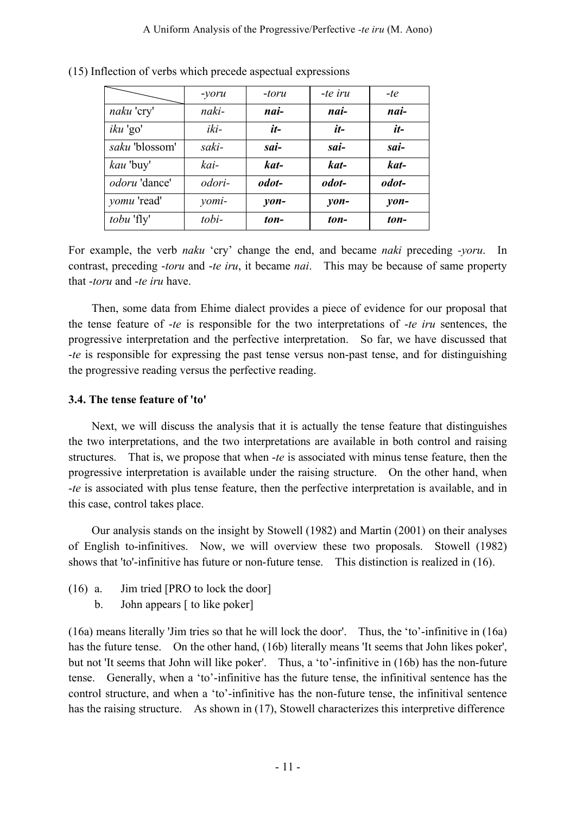|                      | -yoru   | -toru           | -te iru         | -te             |
|----------------------|---------|-----------------|-----------------|-----------------|
| naku 'cry'           | naki-   | nai-            | nai-            | nai-            |
| iku 'go'             | iki-    | $it-$           | $it-$           | $it-$           |
| saku 'blossom'       | saki-   | sai-            | sai-            | sai-            |
| kau 'buy'            | kai-    | kat-            | kat-            | kat-            |
| <i>odoru</i> 'dance' | odori-  | odot-           | odot-           | odot-           |
| <i>yomu</i> 'read'   | $vomi-$ | $\mathit{von}-$ | $\mathit{von}-$ | $\mathit{von}-$ |
| <i>tobu</i> 'fly'    | tobi-   | ton-            | ton-            | ton-            |

(15) Inflection of verbs which precede aspectual expressions

For example, the verb *naku* 'cry' change the end, and became *naki* preceding *-yoru*. In contrast, preceding -*toru* and -*te iru*, it became *nai*. This may be because of same property that -*toru* and -*te iru* have.

Then, some data from Ehime dialect provides a piece of evidence for our proposal that the tense feature of -*te* is responsible for the two interpretations of -*te iru* sentences, the progressive interpretation and the perfective interpretation. So far, we have discussed that -*te* is responsible for expressing the past tense versus non-past tense, and for distinguishing the progressive reading versus the perfective reading.

## **3.4. The tense feature of 'to'**

Next, we will discuss the analysis that it is actually the tense feature that distinguishes the two interpretations, and the two interpretations are available in both control and raising structures. That is, we propose that when -*te* is associated with minus tense feature, then the progressive interpretation is available under the raising structure. On the other hand, when -*te* is associated with plus tense feature, then the perfective interpretation is available, and in this case, control takes place.

Our analysis stands on the insight by Stowell (1982) and Martin (2001) on their analyses of English to-infinitives. Now, we will overview these two proposals. Stowell (1982) shows that 'to'-infinitive has future or non-future tense. This distinction is realized in (16).

- (16) a. Jim tried [PRO to lock the door]
	- b. John appears [ to like poker]

(16a) means literally 'Jim tries so that he will lock the door'. Thus, the 'to'-infinitive in (16a) has the future tense. On the other hand, (16b) literally means 'It seems that John likes poker', but not 'It seems that John will like poker'. Thus, a 'to'-infinitive in (16b) has the non-future tense. Generally, when a 'to'-infinitive has the future tense, the infinitival sentence has the control structure, and when a 'to'-infinitive has the non-future tense, the infinitival sentence has the raising structure. As shown in (17), Stowell characterizes this interpretive difference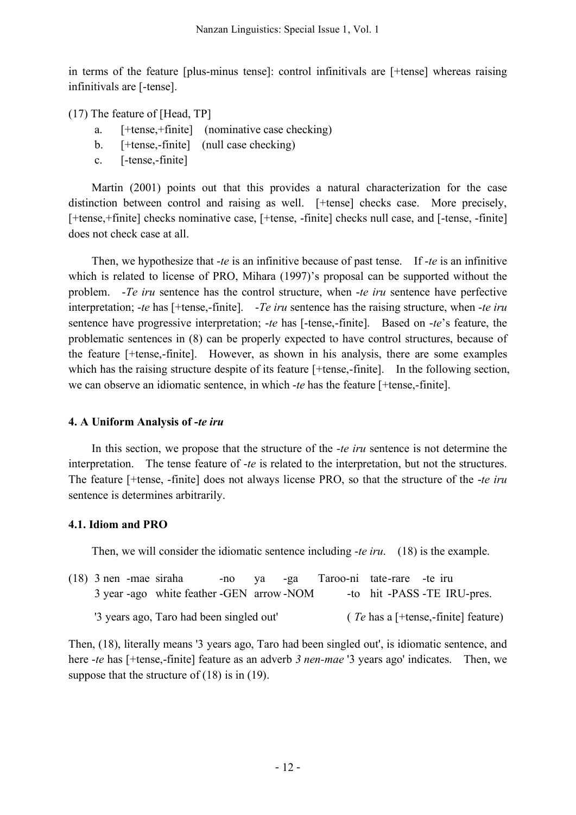in terms of the feature [plus-minus tense]: control infinitivals are [+tense] whereas raising infinitivals are [-tense].

(17) The feature of [Head, TP]

- a. [+tense,+finite] (nominative case checking)
- b. [+tense,-finite] (null case checking)
- c. [-tense,-finite]

Martin (2001) points out that this provides a natural characterization for the case distinction between control and raising as well. [+tense] checks case. More precisely, [+tense,+finite] checks nominative case, [+tense, -finite] checks null case, and [-tense, -finite] does not check case at all.

Then, we hypothesize that -*te* is an infinitive because of past tense. If -*te* is an infinitive which is related to license of PRO, Mihara (1997)'s proposal can be supported without the problem. -*Te iru* sentence has the control structure, when -*te iru* sentence have perfective interpretation; -*te* has [+tense,-finite]. -*Te iru* sentence has the raising structure, when -*te iru*  sentence have progressive interpretation; -*te* has [-tense,-finite]. Based on -*te*'s feature, the problematic sentences in (8) can be properly expected to have control structures, because of the feature [+tense,-finite]. However, as shown in his analysis, there are some examples which has the raising structure despite of its feature [+tense,-finite]. In the following section, we can observe an idiomatic sentence, in which -*te* has the feature [+tense,-finite].

# **4. A Uniform Analysis of -***te iru*

In this section, we propose that the structure of the -*te iru* sentence is not determine the interpretation. The tense feature of -*te* is related to the interpretation, but not the structures. The feature [+tense, -finite] does not always license PRO, so that the structure of the -*te iru* sentence is determines arbitrarily.

# **4.1. Idiom and PRO**

Then, we will consider the idiomatic sentence including -*te iru*. (18) is the example.

| $(18)$ 3 nen -mae siraha |                                           |  | -no ya -ga Taroo-ni tate-rare -te iru |  |                                             |  |
|--------------------------|-------------------------------------------|--|---------------------------------------|--|---------------------------------------------|--|
|                          | 3 year -ago white feather -GEN arrow -NOM |  |                                       |  | -to hit -PASS -TE IRU-pres.                 |  |
|                          | '3 years ago, Taro had been singled out'  |  |                                       |  | ( <i>Te</i> has a [+tense,-finite] feature) |  |

Then, (18), literally means '3 years ago, Taro had been singled out', is idiomatic sentence, and here -*te* has [+tense,-finite] feature as an adverb *3 nen-mae* '3 years ago' indicates. Then, we suppose that the structure of (18) is in (19).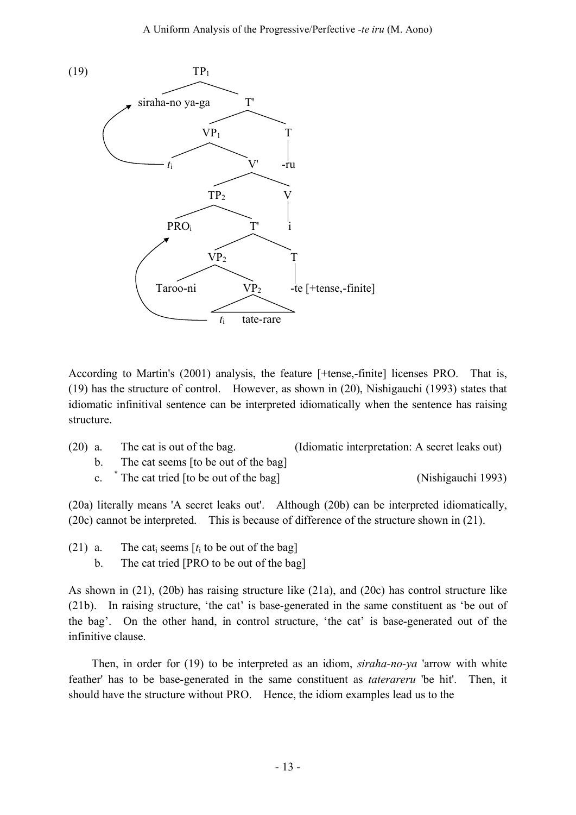

According to Martin's (2001) analysis, the feature [+tense,-finite] licenses PRO. That is, (19) has the structure of control. However, as shown in (20), Nishigauchi (1993) states that idiomatic infinitival sentence can be interpreted idiomatically when the sentence has raising structure.

- (20) a. The cat is out of the bag. (Idiomatic interpretation: A secret leaks out)
	- b. The cat seems [to be out of the bag]
		- c. \* The cat tried [to be out of the bag] (Nishigauchi 1993)

(20a) literally means 'A secret leaks out'. Although (20b) can be interpreted idiomatically, (20c) cannot be interpreted. This is because of difference of the structure shown in (21).

- (21) a. The cat<sub>i</sub> seems  $[t_i]$  to be out of the bag]
	- b. The cat tried [PRO to be out of the bag]

As shown in (21), (20b) has raising structure like (21a), and (20c) has control structure like (21b). In raising structure, 'the cat' is base-generated in the same constituent as 'be out of the bag'. On the other hand, in control structure, 'the cat' is base-generated out of the infinitive clause.

Then, in order for (19) to be interpreted as an idiom, *siraha-no-ya* 'arrow with white feather' has to be base-generated in the same constituent as *taterareru* 'be hit'. Then, it should have the structure without PRO. Hence, the idiom examples lead us to the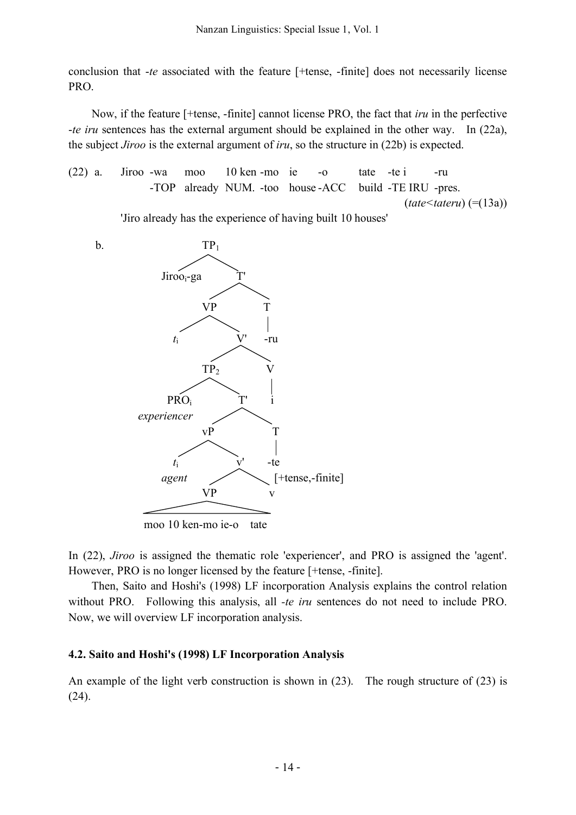conclusion that -*te* associated with the feature [+tense, -finite] does not necessarily license PRO.

Now, if the feature [+tense, -finite] cannot license PRO, the fact that *iru* in the perfective -*te iru* sentences has the external argument should be explained in the other way. In (22a), the subject *Jiroo* is the external argument of *iru*, so the structure in (22b) is expected.

(22) a. Jiroo -wa moo 10 ken -mo ie -o tate -te i -ru -TOP already NUM. -too house -ACC build -TE IRU -pres. (*tate<tateru*) (=(13a))

'Jiro already has the experience of having built 10 houses'



moo 10 ken-mo ie-o tate

In (22), *Jiroo* is assigned the thematic role 'experiencer', and PRO is assigned the 'agent'. However, PRO is no longer licensed by the feature [+tense, -finite].

Then, Saito and Hoshi's (1998) LF incorporation Analysis explains the control relation without PRO. Following this analysis, all *-te iru* sentences do not need to include PRO. Now, we will overview LF incorporation analysis.

### **4.2. Saito and Hoshi's (1998) LF Incorporation Analysis**

An example of the light verb construction is shown in (23). The rough structure of (23) is (24).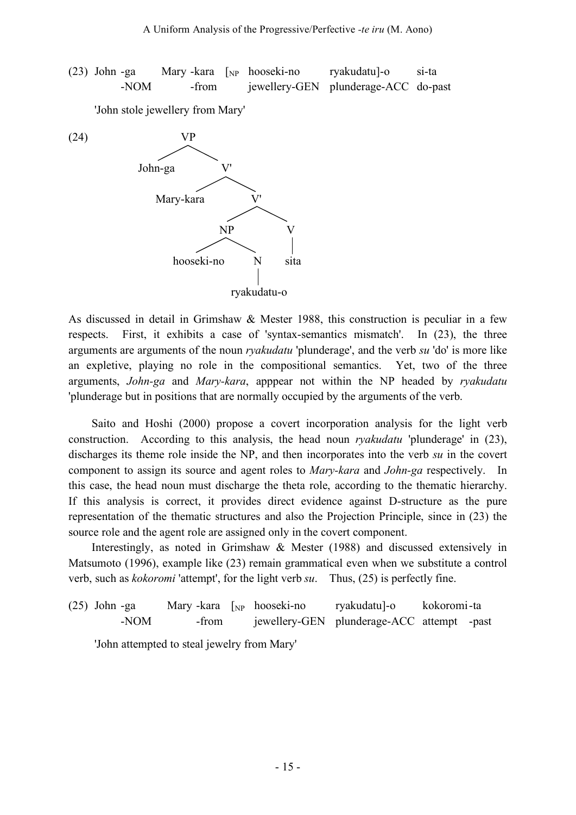| $(23)$ John -ga | Mary -kara $\lceil_{NP}$ hooseki-no |  | ryakudatu]-o                         | si-ta |
|-----------------|-------------------------------------|--|--------------------------------------|-------|
| $-NOM$          | -from                               |  | jewellery-GEN plunderage-ACC do-past |       |

'John stole jewellery from Mary'



As discussed in detail in Grimshaw & Mester 1988, this construction is peculiar in a few respects. First, it exhibits a case of 'syntax-semantics mismatch'. In (23), the three arguments are arguments of the noun *ryakudatu* 'plunderage', and the verb *su* 'do' is more like an expletive, playing no role in the compositional semantics. Yet, two of the three arguments, *John-ga* and *Mary-kara*, apppear not within the NP headed by *ryakudatu*  'plunderage but in positions that are normally occupied by the arguments of the verb.

Saito and Hoshi (2000) propose a covert incorporation analysis for the light verb construction. According to this analysis, the head noun *ryakudatu* 'plunderage' in (23), discharges its theme role inside the NP, and then incorporates into the verb *su* in the covert component to assign its source and agent roles to *Mary-kara* and *John-ga* respectively. In this case, the head noun must discharge the theta role, according to the thematic hierarchy. If this analysis is correct, it provides direct evidence against D-structure as the pure representation of the thematic structures and also the Projection Principle, since in (23) the source role and the agent role are assigned only in the covert component.

Interestingly, as noted in Grimshaw & Mester (1988) and discussed extensively in Matsumoto (1996), example like (23) remain grammatical even when we substitute a control verb, such as *kokoromi* 'attempt', for the light verb *su*. Thus, (25) is perfectly fine.

(25) John -ga Mary -kara [NP hooseki-no ryakudatu]-o kokoromi-ta -NOM -from jewellery-GEN plunderage-ACC attempt -past

'John attempted to steal jewelry from Mary'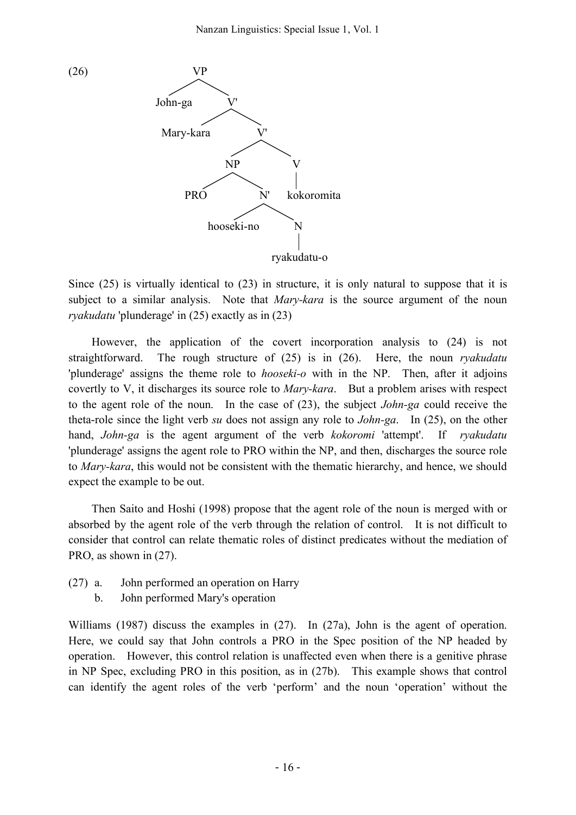

Since (25) is virtually identical to (23) in structure, it is only natural to suppose that it is subject to a similar analysis. Note that *Mary-kara* is the source argument of the noun *ryakudatu* 'plunderage' in (25) exactly as in (23)

However, the application of the covert incorporation analysis to (24) is not straightforward. The rough structure of (25) is in (26). Here, the noun *ryakudatu* 'plunderage' assigns the theme role to *hooseki-o* with in the NP. Then, after it adjoins covertly to V, it discharges its source role to *Mary-kara*. But a problem arises with respect to the agent role of the noun. In the case of (23), the subject *John-ga* could receive the theta-role since the light verb *su* does not assign any role to *John-ga*. In (25), on the other hand, *John-ga* is the agent argument of the verb *kokoromi* 'attempt'. If *ryakudatu* 'plunderage' assigns the agent role to PRO within the NP, and then, discharges the source role to *Mary-kara*, this would not be consistent with the thematic hierarchy, and hence, we should expect the example to be out.

Then Saito and Hoshi (1998) propose that the agent role of the noun is merged with or absorbed by the agent role of the verb through the relation of control. It is not difficult to consider that control can relate thematic roles of distinct predicates without the mediation of PRO, as shown in (27).

- (27) a. John performed an operation on Harry
	- b. John performed Mary's operation

Williams (1987) discuss the examples in (27). In (27a), John is the agent of operation. Here, we could say that John controls a PRO in the Spec position of the NP headed by operation. However, this control relation is unaffected even when there is a genitive phrase in NP Spec, excluding PRO in this position, as in (27b). This example shows that control can identify the agent roles of the verb 'perform' and the noun 'operation' without the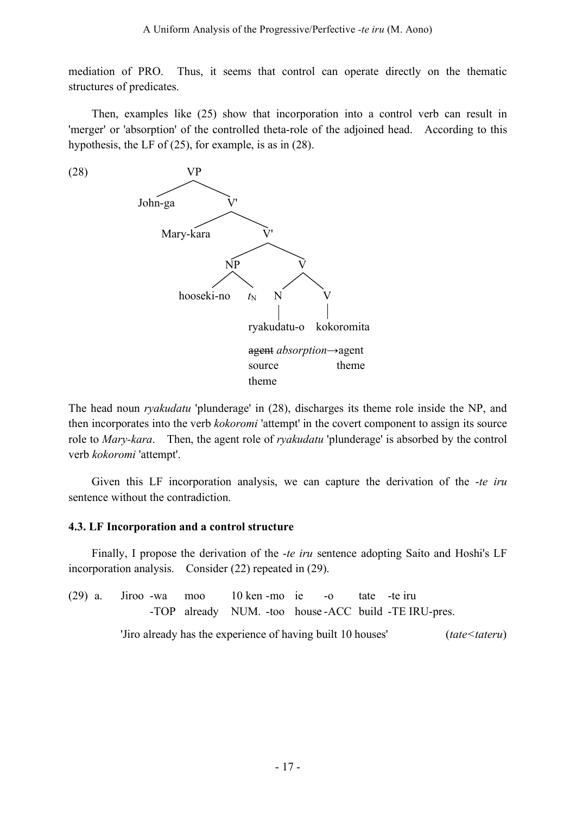mediation of PRO. Thus, it seems that control can operate directly on the thematic structures of predicates.

Then, examples like (25) show that incorporation into a control verb can result in 'merger' or 'absorption' of the controlled theta-role of the adjoined head. According to this hypothesis, the LF of (25), for example, is as in (28).



The head noun *ryakudatu* 'plunderage' in (28), discharges its theme role inside the NP, and then incorporates into the verb *kokoromi* 'attempt' in the covert component to assign its source role to *Mary-kara*. Then, the agent role of *ryakudatu* 'plunderage' is absorbed by the control verb *kokoromi* 'attempt'.

Given this LF incorporation analysis, we can capture the derivation of the -*te iru* sentence without the contradiction.

### **4.3. LF Incorporation and a control structure**

Finally, I propose the derivation of the -*te iru* sentence adopting Saito and Hoshi's LF incorporation analysis. Consider (22) repeated in (29).

(29) a. Jiroo -wa moo 10 ken -mo ie -o tate -te iru -TOP already NUM. -too house -ACC build -TE IRU-pres.

'Jiro already has the experience of having built 10 houses' (*tate<tateru*)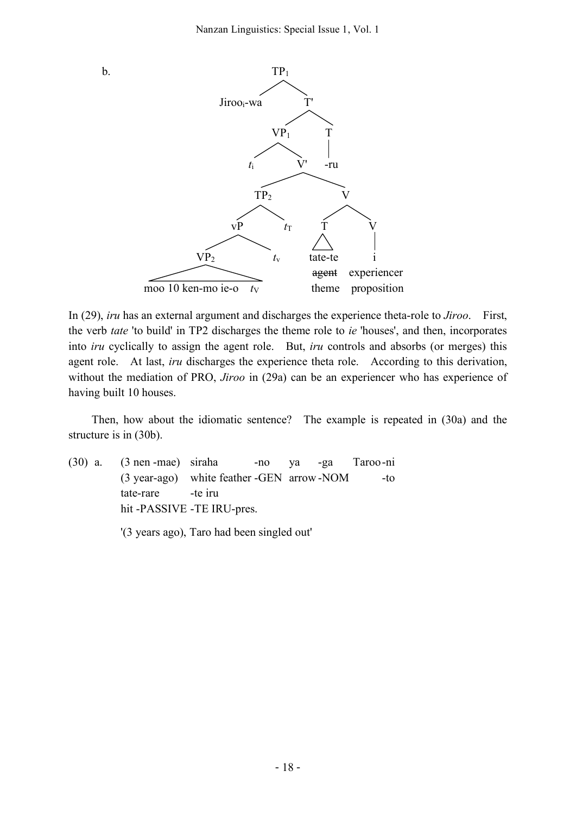

In (29), *iru* has an external argument and discharges the experience theta-role to *Jiroo*. First, the verb *tate* 'to build' in TP2 discharges the theme role to *ie* 'houses', and then, incorporates into *iru* cyclically to assign the agent role. But, *iru* controls and absorbs (or merges) this agent role. At last, *iru* discharges the experience theta role. According to this derivation, without the mediation of PRO, *Jiroo* in (29a) can be an experiencer who has experience of having built 10 houses.

Then, how about the idiomatic sentence? The example is repeated in (30a) and the structure is in (30b).

(30) a. (3 nen -mae) siraha -no ya -ga Taroo-ni (3 year-ago) white feather -GEN arrow -NOM -to tate-rare -te iru hit -PASSIVE -TE IRU-pres.

'(3 years ago), Taro had been singled out'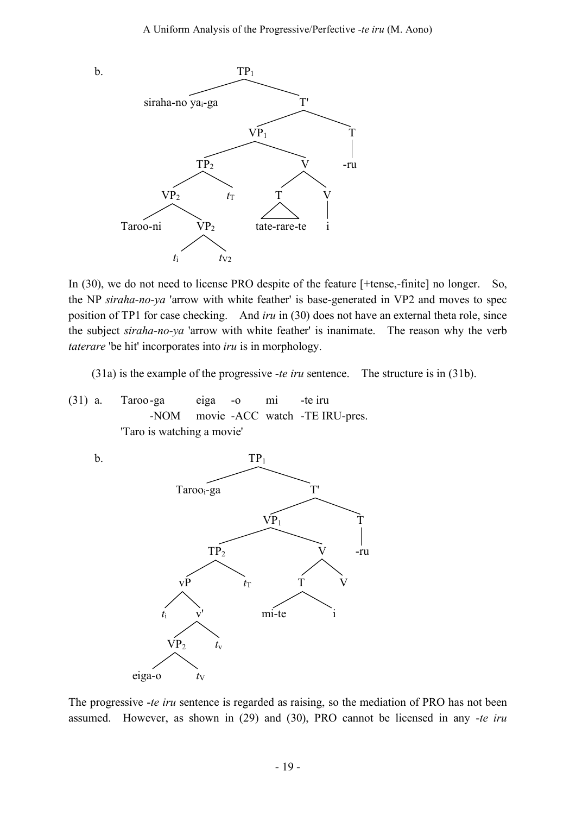

In (30), we do not need to license PRO despite of the feature [+tense,-finite] no longer. So, the NP *siraha-no-ya* 'arrow with white feather' is base-generated in VP2 and moves to spec position of TP1 for case checking. And *iru* in (30) does not have an external theta role, since the subject *siraha-no-ya* 'arrow with white feather' is inanimate. The reason why the verb *taterare* 'be hit' incorporates into *iru* is in morphology.

(31a) is the example of the progressive -*te iru* sentence. The structure is in (31b).

(31) a. Taroo-ga eiga -o mi -te iru -NOM movie -ACC watch -TE IRU-pres. 'Taro is watching a movie'



The progressive -*te iru* sentence is regarded as raising, so the mediation of PRO has not been assumed. However, as shown in (29) and (30), PRO cannot be licensed in any -*te iru*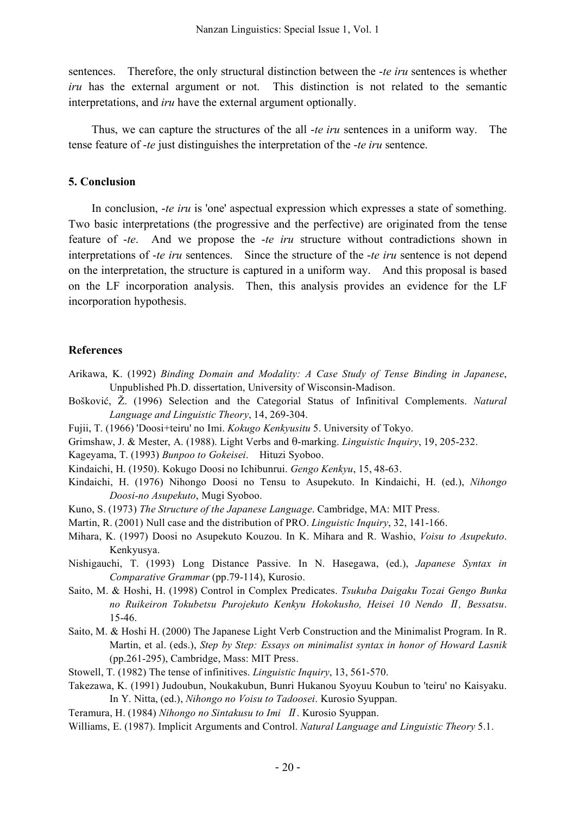sentences. Therefore, the only structural distinction between the -*te iru* sentences is whether *iru* has the external argument or not. This distinction is not related to the semantic interpretations, and *iru* have the external argument optionally.

Thus, we can capture the structures of the all -*te iru* sentences in a uniform way. The tense feature of -*te* just distinguishes the interpretation of the -*te iru* sentence.

#### **5. Conclusion**

In conclusion, -*te iru* is 'one' aspectual expression which expresses a state of something. Two basic interpretations (the progressive and the perfective) are originated from the tense feature of -*te*. And we propose the -*te iru* structure without contradictions shown in interpretations of -*te iru* sentences. Since the structure of the -*te iru* sentence is not depend on the interpretation, the structure is captured in a uniform way. And this proposal is based on the LF incorporation analysis. Then, this analysis provides an evidence for the LF incorporation hypothesis.

#### **References**

- Arikawa, K. (1992) *Binding Domain and Modality: A Case Study of Tense Binding in Japanese*, Unpublished Ph.D. dissertation, University of Wisconsin-Madison.
- Bošković, Ž. (1996) Selection and the Categorial Status of Infinitival Complements. *Natural Language and Linguistic Theory*, 14, 269-304.
- Fujii, T. (1966) 'Doosi+teiru' no Imi. *Kokugo Kenkyusitu* 5. University of Tokyo.
- Grimshaw, J. & Mester, A. (1988). Light Verbs and θ-marking. *Linguistic Inquiry*, 19, 205-232.
- Kageyama, T. (1993) *Bunpoo to Gokeisei*. Hituzi Syoboo.
- Kindaichi, H. (1950). Kokugo Doosi no Ichibunrui. *Gengo Kenkyu*, 15, 48-63.
- Kindaichi, H. (1976) Nihongo Doosi no Tensu to Asupekuto. In Kindaichi, H. (ed.), *Nihongo Doosi-no Asupekuto*, Mugi Syoboo.
- Kuno, S. (1973) *The Structure of the Japanese Language*. Cambridge, MA: MIT Press.
- Martin, R. (2001) Null case and the distribution of PRO. *Linguistic Inquiry*, 32, 141-166.
- Mihara, K. (1997) Doosi no Asupekuto Kouzou. In K. Mihara and R. Washio, *Voisu to Asupekuto*. Kenkyusya.
- Nishigauchi, T. (1993) Long Distance Passive. In N. Hasegawa, (ed.), *Japanese Syntax in Comparative Grammar* (pp.79-114), Kurosio.
- Saito, M. & Hoshi, H. (1998) Control in Complex Predicates. *Tsukuba Daigaku Tozai Gengo Bunka no Ruikeiron Tokubetsu Purojekuto Kenkyu Hokokusho, Heisei 10 Nendo* Ⅱ*, Bessatsu*. 15-46.
- Saito, M. & Hoshi H. (2000) The Japanese Light Verb Construction and the Minimalist Program. In R. Martin, et al. (eds.), *Step by Step: Essays on minimalist syntax in honor of Howard Lasnik* (pp.261-295), Cambridge, Mass: MIT Press.
- Stowell, T. (1982) The tense of infinitives. *Linguistic Inquiry*, 13, 561-570.
- Takezawa, K. (1991) Judoubun, Noukakubun, Bunri Hukanou Syoyuu Koubun to 'teiru' no Kaisyaku. In Y. Nitta, (ed.), *Nihongo no Voisu to Tadoosei*. Kurosio Syuppan.
- Teramura, H. (1984) *Nihongo no Sintakusu to Imi* Ⅱ. Kurosio Syuppan.
- Williams, E. (1987). Implicit Arguments and Control. *Natural Language and Linguistic Theory* 5.1.